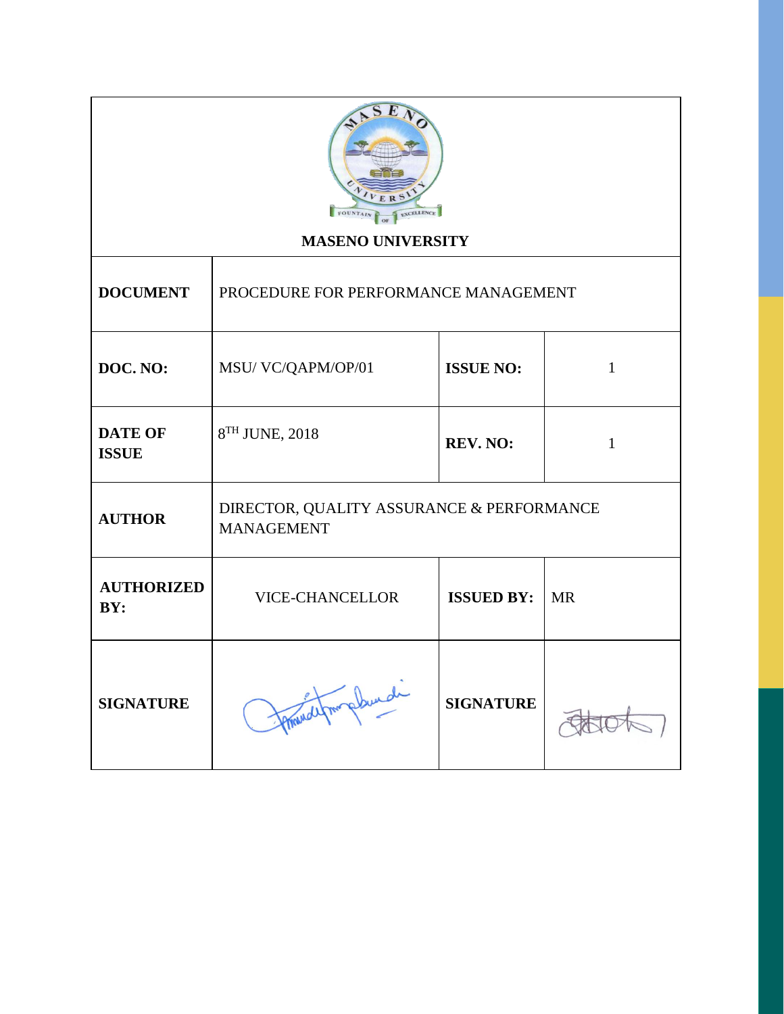

# **MASENO UNIVERSITY**

| <b>DOCUMENT</b>                | PROCEDURE FOR PERFORMANCE MANAGEMENT                           |                   |           |
|--------------------------------|----------------------------------------------------------------|-------------------|-----------|
| DOC. NO:                       | MSU/VC/QAPM/OP/01                                              | <b>ISSUE NO:</b>  |           |
| <b>DATE OF</b><br><b>ISSUE</b> | 8 <sup>TH</sup> JUNE, 2018                                     | 1                 |           |
| <b>AUTHOR</b>                  | DIRECTOR, QUALITY ASSURANCE & PERFORMANCE<br><b>MANAGEMENT</b> |                   |           |
| <b>AUTHORIZED</b><br>BY:       | <b>VICE-CHANCELLOR</b>                                         | <b>ISSUED BY:</b> | <b>MR</b> |
| <b>SIGNATURE</b>               | magdunde                                                       | <b>SIGNATURE</b>  |           |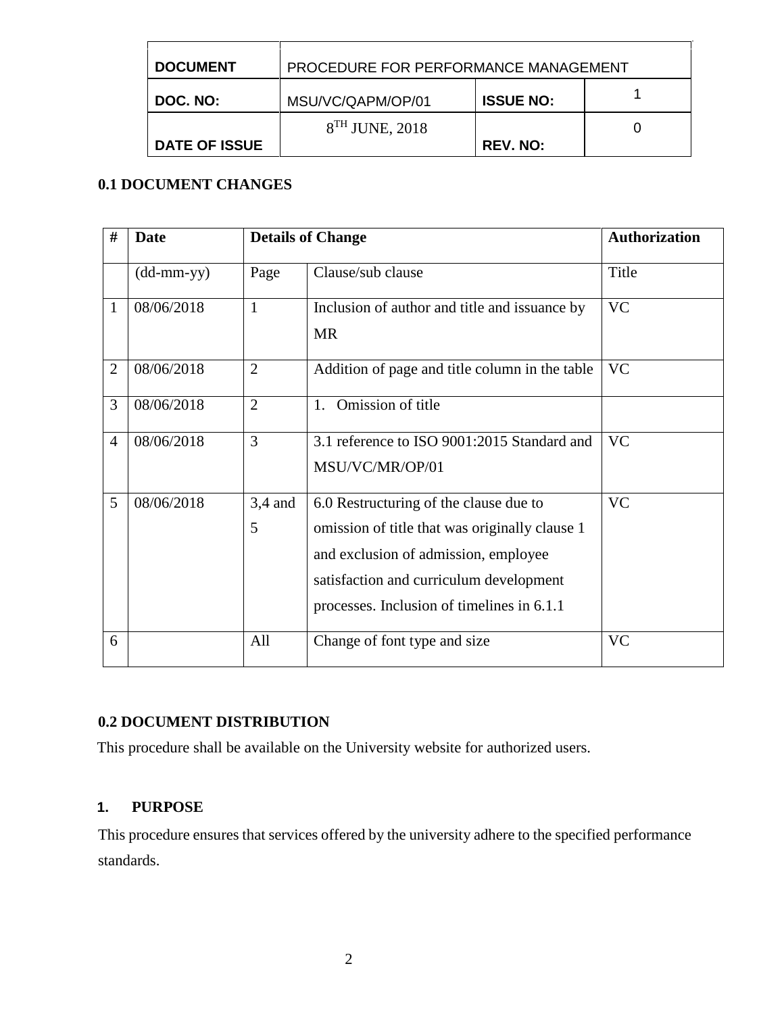| <b>DOCUMENT</b>      | PROCEDURE FOR PERFORMANCE MANAGEMENT |                  |  |
|----------------------|--------------------------------------|------------------|--|
| DOC. NO:             | MSU/VC/QAPM/OP/01                    | <b>ISSUE NO:</b> |  |
|                      | $8TH$ JUNE, 2018                     |                  |  |
| <b>DATE OF ISSUE</b> |                                      | <b>REV. NO:</b>  |  |

## **0.1 DOCUMENT CHANGES**

| #              | <b>Date</b>                |                | <b>Details of Change</b>                                                                                                                                                                                                  | <b>Authorization</b> |
|----------------|----------------------------|----------------|---------------------------------------------------------------------------------------------------------------------------------------------------------------------------------------------------------------------------|----------------------|
|                | $(dd\text{-}mm\text{-}yy)$ | Page           | Clause/sub clause                                                                                                                                                                                                         | Title                |
| 1              | 08/06/2018                 | $\mathbf{1}$   | Inclusion of author and title and issuance by<br><b>MR</b>                                                                                                                                                                | <b>VC</b>            |
| $\overline{2}$ | 08/06/2018                 | $\overline{2}$ | Addition of page and title column in the table                                                                                                                                                                            | <b>VC</b>            |
| 3              | 08/06/2018                 | $\overline{2}$ | Omission of title<br>$1_{\cdot}$                                                                                                                                                                                          |                      |
| $\overline{4}$ | 08/06/2018                 | 3              | 3.1 reference to ISO 9001:2015 Standard and<br>MSU/VC/MR/OP/01                                                                                                                                                            | <b>VC</b>            |
| 5              | 08/06/2018                 | $3,4$ and<br>5 | 6.0 Restructuring of the clause due to<br>omission of title that was originally clause 1<br>and exclusion of admission, employee<br>satisfaction and curriculum development<br>processes. Inclusion of timelines in 6.1.1 | <b>VC</b>            |
| 6              |                            | All            | Change of font type and size                                                                                                                                                                                              | <b>VC</b>            |

# **0.2 DOCUMENT DISTRIBUTION**

This procedure shall be available on the University website for authorized users.

#### **1. PURPOSE**

This procedure ensures that services offered by the university adhere to the specified performance standards.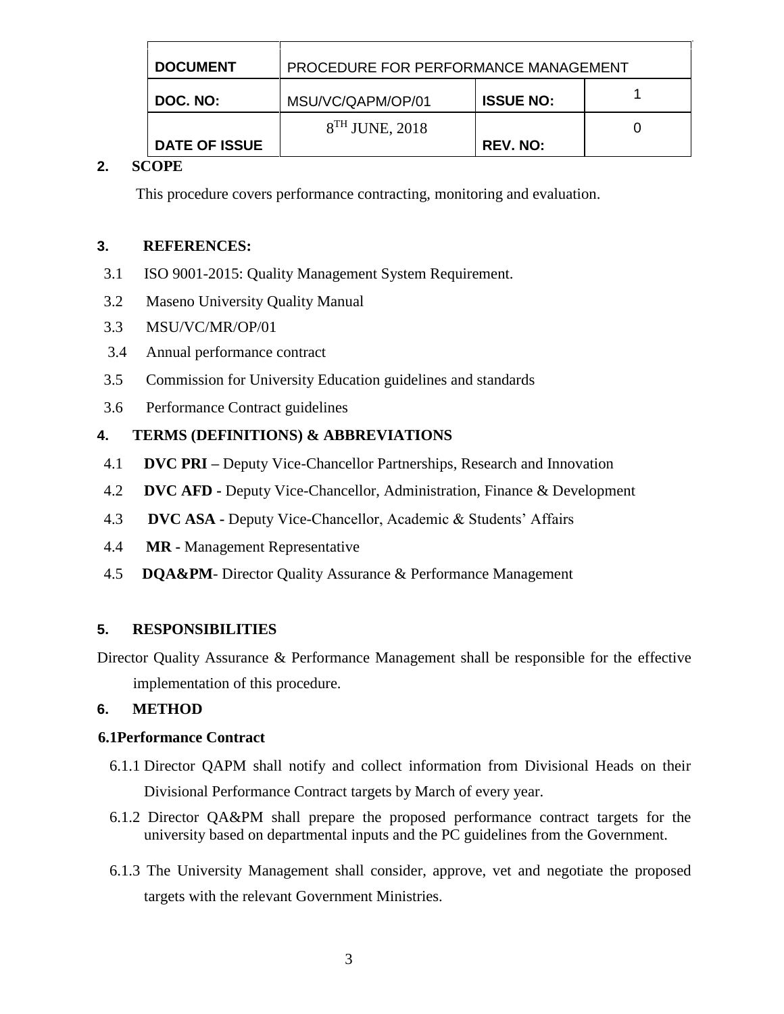| <b>DOCUMENT</b>      | PROCEDURE FOR PERFORMANCE MANAGEMENT |                  |  |
|----------------------|--------------------------------------|------------------|--|
| DOC. NO:             | MSU/VC/QAPM/OP/01                    | <b>ISSUE NO:</b> |  |
|                      | $8TH$ JUNE, 2018                     |                  |  |
| <b>DATE OF ISSUE</b> |                                      | <b>REV. NO:</b>  |  |

# **2. SCOPE**

This procedure covers performance contracting, monitoring and evaluation.

### **3. REFERENCES:**

- 3.1 ISO 9001-2015: Quality Management System Requirement.
- 3.2 Maseno University Quality Manual
- 3.3 MSU/VC/MR/OP/01
- 3.4 Annual performance contract
- 3.5 Commission for University Education guidelines and standards
- 3.6 Performance Contract guidelines

# **4. TERMS (DEFINITIONS) & ABBREVIATIONS**

- 4.1 **DVC PRI –** Deputy Vice-Chancellor Partnerships, Research and Innovation
- 4.2 **DVC AFD -** Deputy Vice-Chancellor, Administration, Finance & Development
- 4.3 **DVC ASA -** Deputy Vice-Chancellor, Academic & Students' Affairs
- 4.4 **MR -** Management Representative
- 4.5 **DQA&PM** Director Quality Assurance & Performance Management

### **5. RESPONSIBILITIES**

Director Quality Assurance & Performance Management shall be responsible for the effective implementation of this procedure.

### **6. METHOD**

### **6.1Performance Contract**

- 6.1.1 Director QAPM shall notify and collect information from Divisional Heads on their Divisional Performance Contract targets by March of every year.
- 6.1.2 Director QA&PM shall prepare the proposed performance contract targets for the university based on departmental inputs and the PC guidelines from the Government.
- 6.1.3 The University Management shall consider, approve, vet and negotiate the proposed targets with the relevant Government Ministries.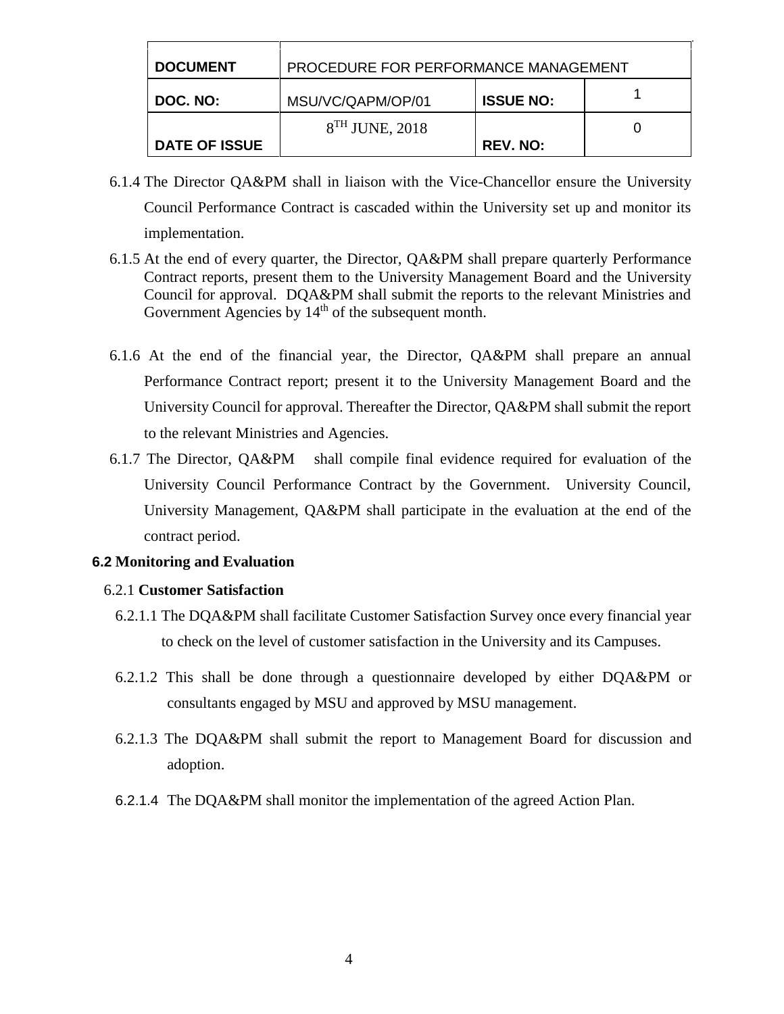| <b>DOCUMENT</b>      | PROCEDURE FOR PERFORMANCE MANAGEMENT |                  |  |
|----------------------|--------------------------------------|------------------|--|
| DOC. NO:             | MSU/VC/QAPM/OP/01                    | <b>ISSUE NO:</b> |  |
|                      | $8TH$ JUNE, 2018                     |                  |  |
| <b>DATE OF ISSUE</b> |                                      | <b>REV. NO:</b>  |  |

- 6.1.4 The Director QA&PM shall in liaison with the Vice-Chancellor ensure the University Council Performance Contract is cascaded within the University set up and monitor its implementation.
- 6.1.5 At the end of every quarter, the Director, QA&PM shall prepare quarterly Performance Contract reports, present them to the University Management Board and the University Council for approval. DQA&PM shall submit the reports to the relevant Ministries and Government Agencies by  $14<sup>th</sup>$  of the subsequent month.
- 6.1.6 At the end of the financial year, the Director, QA&PM shall prepare an annual Performance Contract report; present it to the University Management Board and the University Council for approval. Thereafter the Director, QA&PM shall submit the report to the relevant Ministries and Agencies.
- 6.1.7 The Director, QA&PM shall compile final evidence required for evaluation of the University Council Performance Contract by the Government. University Council, University Management, QA&PM shall participate in the evaluation at the end of the contract period.

#### **6.2 Monitoring and Evaluation**

#### 6.2.1 **Customer Satisfaction**

- 6.2.1.1 The DQA&PM shall facilitate Customer Satisfaction Survey once every financial year to check on the level of customer satisfaction in the University and its Campuses.
- 6.2.1.2 This shall be done through a questionnaire developed by either DQA&PM or consultants engaged by MSU and approved by MSU management.
- 6.2.1.3 The DQA&PM shall submit the report to Management Board for discussion and adoption.
- 6.2.1.4 The DQA&PM shall monitor the implementation of the agreed Action Plan.